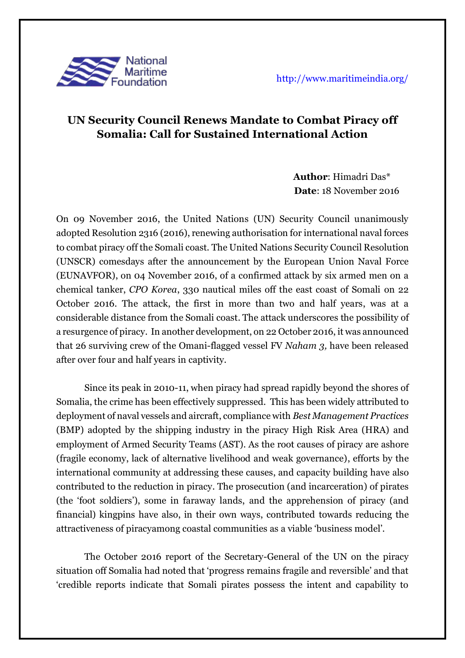

## **UN Security Council Renews Mandate to Combat Piracy off Somalia: Call for Sustained International Action**

 **Author**: Himadri Das\*  **Date**: 18 November 2016

On 09 November 2016, the United Nations (UN) Security Council unanimously adopted Resolution 2316 (2016), renewing authorisation for international naval forces to combat piracy off the Somali coast. The United Nations Security Council Resolution (UNSCR) comesdays after the announcement by the European Union Naval Force (EUNAVFOR), on 04 November 2016, of a confirmed attack by six armed men on a chemical tanker, *CPO Korea*, 330 nautical miles off the east coast of Somali on 22 October 2016. The attack, the first in more than two and half years, was at a considerable distance from the Somali coast. The attack underscores the possibility of a resurgence of piracy. In another development, on 22 October 2016, it was announced that 26 surviving crew of the Omani-flagged vessel FV *Naham 3,* have been released after over four and half years in captivity.

Since its peak in 2010-11, when piracy had spread rapidly beyond the shores of Somalia, the crime has been effectively suppressed. This has been widely attributed to deployment of naval vessels and aircraft, compliance with *Best Management Practices*  (BMP) adopted by the shipping industry in the piracy High Risk Area (HRA) and employment of Armed Security Teams (AST). As the root causes of piracy are ashore (fragile economy, lack of alternative livelihood and weak governance), efforts by the international community at addressing these causes, and capacity building have also contributed to the reduction in piracy. The prosecution (and incarceration) of pirates (the 'foot soldiers'), some in faraway lands, and the apprehension of piracy (and financial) kingpins have also, in their own ways, contributed towards reducing the attractiveness of piracyamong coastal communities as a viable 'business model'.

The October 2016 report of the Secretary-General of the UN on the piracy situation off Somalia had noted that 'progress remains fragile and reversible' and that 'credible reports indicate that Somali pirates possess the intent and capability to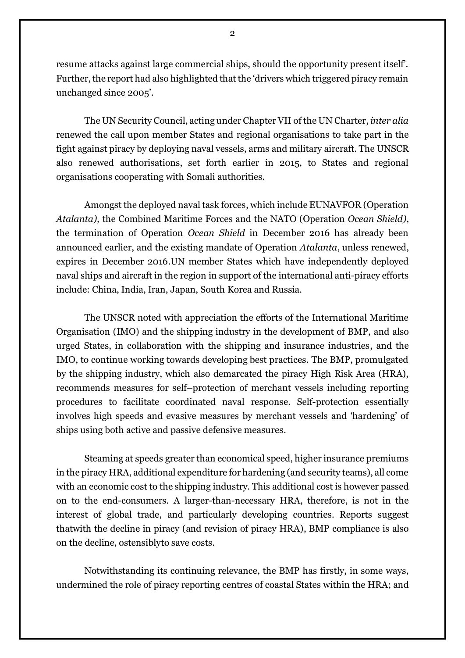resume attacks against large commercial ships, should the opportunity present itself'. Further, the report had also highlighted that the 'drivers which triggered piracy remain unchanged since 2005'.

The UN Security Council, acting under Chapter VII of the UN Charter, *inter alia* renewed the call upon member States and regional organisations to take part in the fight against piracy by deploying naval vessels, arms and military aircraft. The UNSCR also renewed authorisations, set forth earlier in 2015, to States and regional organisations cooperating with Somali authorities.

Amongst the deployed naval task forces, which include EUNAVFOR (Operation *Atalanta),* the Combined Maritime Forces and the NATO (Operation *Ocean Shield)*, the termination of Operation *Ocean Shield* in December 2016 has already been announced earlier, and the existing mandate of Operation *Atalanta*, unless renewed, expires in December 2016.UN member States which have independently deployed naval ships and aircraft in the region in support of the international anti-piracy efforts include: China, India, Iran, Japan, South Korea and Russia.

The UNSCR noted with appreciation the efforts of the International Maritime Organisation (IMO) and the shipping industry in the development of BMP, and also urged States, in collaboration with the shipping and insurance industries, and the IMO, to continue working towards developing best practices. The BMP, promulgated by the shipping industry, which also demarcated the piracy High Risk Area (HRA), recommends measures for self–protection of merchant vessels including reporting procedures to facilitate coordinated naval response. Self-protection essentially involves high speeds and evasive measures by merchant vessels and 'hardening' of ships using both active and passive defensive measures.

Steaming at speeds greater than economical speed, higher insurance premiums in the piracy HRA, additional expenditure for hardening (and security teams), all come with an economic cost to the shipping industry. This additional cost is however passed on to the end-consumers. A larger-than-necessary HRA, therefore, is not in the interest of global trade, and particularly developing countries. Reports suggest thatwith the decline in piracy (and revision of piracy HRA), BMP compliance is also on the decline, ostensiblyto save costs.

Notwithstanding its continuing relevance, the BMP has firstly, in some ways, undermined the role of piracy reporting centres of coastal States within the HRA; and

2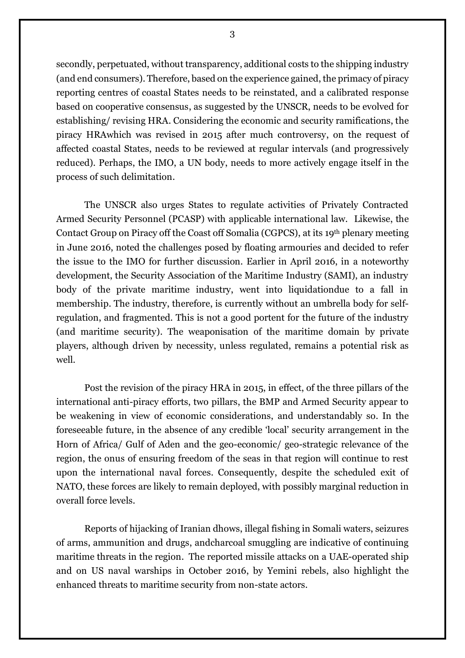secondly, perpetuated, without transparency, additional costs to the shipping industry (and end consumers). Therefore, based on the experience gained, the primacy of piracy reporting centres of coastal States needs to be reinstated, and a calibrated response based on cooperative consensus, as suggested by the UNSCR, needs to be evolved for establishing/ revising HRA. Considering the economic and security ramifications, the piracy HRAwhich was revised in 2015 after much controversy, on the request of affected coastal States, needs to be reviewed at regular intervals (and progressively reduced). Perhaps, the IMO, a UN body, needs to more actively engage itself in the process of such delimitation.

The UNSCR also urges States to regulate activities of Privately Contracted Armed Security Personnel (PCASP) with applicable international law. Likewise, the Contact Group on Piracy off the Coast off Somalia (CGPCS), at its 19th plenary meeting in June 2016, noted the challenges posed by floating armouries and decided to refer the issue to the IMO for further discussion. Earlier in April 2016, in a noteworthy development, the Security Association of the Maritime Industry (SAMI), an industry body of the private maritime industry, went into liquidationdue to a fall in membership. The industry, therefore, is currently without an umbrella body for selfregulation, and fragmented. This is not a good portent for the future of the industry (and maritime security). The weaponisation of the maritime domain by private players, although driven by necessity, unless regulated, remains a potential risk as well.

Post the revision of the piracy HRA in 2015, in effect, of the three pillars of the international anti-piracy efforts, two pillars, the BMP and Armed Security appear to be weakening in view of economic considerations, and understandably so. In the foreseeable future, in the absence of any credible 'local' security arrangement in the Horn of Africa/ Gulf of Aden and the geo-economic/ geo-strategic relevance of the region, the onus of ensuring freedom of the seas in that region will continue to rest upon the international naval forces. Consequently, despite the scheduled exit of NATO, these forces are likely to remain deployed, with possibly marginal reduction in overall force levels.

Reports of hijacking of Iranian dhows, illegal fishing in Somali waters, seizures of arms, ammunition and drugs, andcharcoal smuggling are indicative of continuing maritime threats in the region. The reported missile attacks on a UAE-operated ship and on US naval warships in October 2016, by Yemini rebels, also highlight the enhanced threats to maritime security from non-state actors.

3